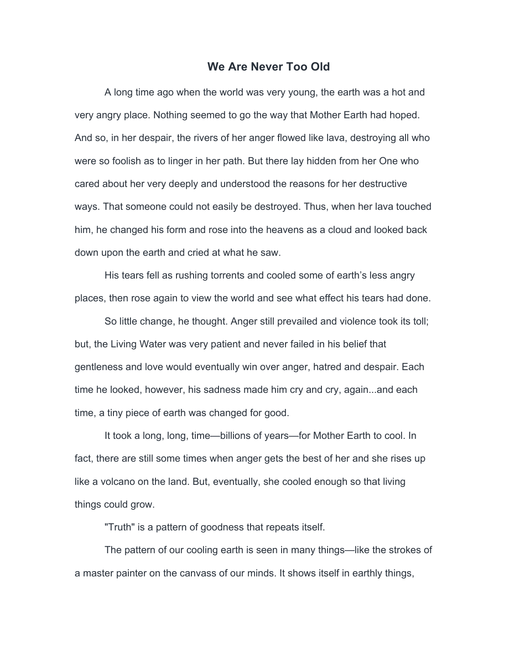## **We Are Never Too Old**

A long time ago when the world was very young, the earth was a hot and very angry place. Nothing seemed to go the way that Mother Earth had hoped. And so, in her despair, the rivers of her anger flowed like lava, destroying all who were so foolish as to linger in her path. But there lay hidden from her One who cared about her very deeply and understood the reasons for her destructive ways. That someone could not easily be destroyed. Thus, when her lava touched him, he changed his form and rose into the heavens as a cloud and looked back down upon the earth and cried at what he saw.

His tears fell as rushing torrents and cooled some of earth's less angry places, then rose again to view the world and see what effect his tears had done.

So little change, he thought. Anger still prevailed and violence took its toll; but, the Living Water was very patient and never failed in his belief that gentleness and love would eventually win over anger, hatred and despair. Each time he looked, however, his sadness made him cry and cry, again...and each time, a tiny piece of earth was changed for good.

It took a long, long, time—billions of years—for Mother Earth to cool. In fact, there are still some times when anger gets the best of her and she rises up like a volcano on the land. But, eventually, she cooled enough so that living things could grow.

"Truth" is a pattern of goodness that repeats itself.

The pattern of our cooling earth is seen in many things—like the strokes of a master painter on the canvass of our minds. It shows itself in earthly things,